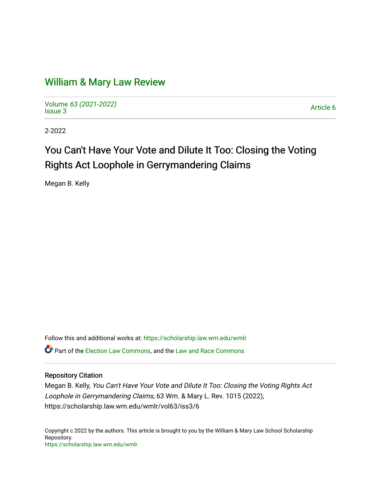# [William & Mary Law Review](https://scholarship.law.wm.edu/wmlr)

Volume [63 \(2021-2022\)](https://scholarship.law.wm.edu/wmlr/vol63)  volume os (2027-2022)<br>[Issue 3](https://scholarship.law.wm.edu/wmlr/vol63/iss3) Article 6

2-2022

# You Can't Have Your Vote and Dilute It Too: Closing the Voting Rights Act Loophole in Gerrymandering Claims

Megan B. Kelly

Follow this and additional works at: [https://scholarship.law.wm.edu/wmlr](https://scholarship.law.wm.edu/wmlr?utm_source=scholarship.law.wm.edu%2Fwmlr%2Fvol63%2Fiss3%2F6&utm_medium=PDF&utm_campaign=PDFCoverPages) **C** Part of the [Election Law Commons](http://network.bepress.com/hgg/discipline/1121?utm_source=scholarship.law.wm.edu%2Fwmlr%2Fvol63%2Fiss3%2F6&utm_medium=PDF&utm_campaign=PDFCoverPages), and the Law and Race Commons

# Repository Citation

Megan B. Kelly, You Can't Have Your Vote and Dilute It Too: Closing the Voting Rights Act Loophole in Gerrymandering Claims, 63 Wm. & Mary L. Rev. 1015 (2022), https://scholarship.law.wm.edu/wmlr/vol63/iss3/6

Copyright c 2022 by the authors. This article is brought to you by the William & Mary Law School Scholarship Repository. <https://scholarship.law.wm.edu/wmlr>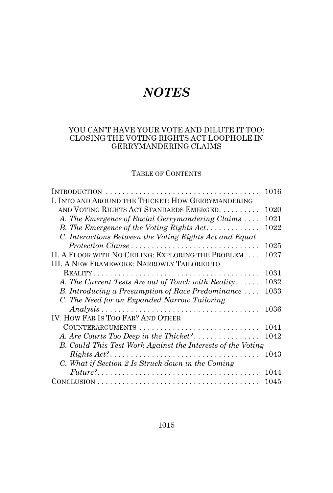# *NOTES*

# YOU CAN'T HAVE YOUR VOTE AND DILUTE IT TOO: CLOSING THE VOTING RIGHTS ACT LOOPHOLE IN GERRYMANDERING CLAIMS

# TABLE OF CONTENTS

|                                                                                                       | 1016 |
|-------------------------------------------------------------------------------------------------------|------|
| I. INTO AND AROUND THE THICKET: HOW GERRYMANDERING                                                    |      |
| AND VOTING RIGHTS ACT STANDARDS EMERGED.                                                              | 1020 |
| A. The Emergence of Racial Gerrymandering Claims                                                      | 1021 |
| B. The Emergence of the Voting Rights Act                                                             | 1022 |
| C. Interactions Between the Voting Rights Act and Equal                                               |      |
| Protection Clause                                                                                     | 1025 |
| II. A FLOOR WITH NO CEILING: EXPLORING THE PROBLEM                                                    | 1027 |
| <b>III. A NEW FRAMEWORK: NARROWLY TAILORED TO</b>                                                     |      |
|                                                                                                       | 1031 |
| A. The Current Tests Are out of Touch with Reality                                                    | 1032 |
| B. Introducing a Presumption of Race Predominance                                                     | 1033 |
| C. The Need for an Expanded Narrow Tailoring                                                          |      |
| $Analysis \ldots \ldots \ldots \ldots \ldots \ldots \ldots \ldots \ldots \ldots \ldots \ldots \ldots$ | 1036 |
| IV. HOW FAR IS TOO FAR? AND OTHER                                                                     |      |
| COUNTERARGUMENTS                                                                                      | 1041 |
|                                                                                                       | 1042 |
| B. Could This Test Work Against the Interests of the Voting                                           |      |
| $Rights \, Act? \dots \dots \dots \dots \dots \dots \dots \dots \dots \dots \dots \dots$              | 1043 |
| C. What if Section 2 Is Struck down in the Coming                                                     |      |
| $Future? \dots \dots \dots \dots \dots \dots \dots \dots \dots \dots \dots \dots \dots \dots \dots$   | 1044 |
| $ConvCLUSION \dots \dots \dots \dots \dots \dots \dots \dots \dots \dots \dots \dots \dots$           | 1045 |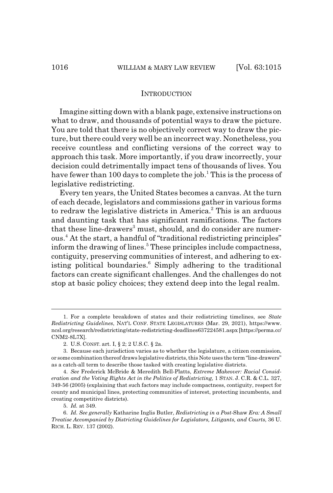#### **INTRODUCTION**

Imagine sitting down with a blank page, extensive instructions on what to draw, and thousands of potential ways to draw the picture. You are told that there is no objectively correct way to draw the picture, but there could very well be an incorrect way. Nonetheless, you receive countless and conflicting versions of the correct way to approach this task. More importantly, if you draw incorrectly, your decision could detrimentally impact tens of thousands of lives. You have fewer than 100 days to complete the job.<sup>1</sup> This is the process of legislative redistricting.

Every ten years, the United States becomes a canvas. At the turn of each decade, legislators and commissions gather in various forms to redraw the legislative districts in America.<sup>2</sup> This is an arduous and daunting task that has significant ramifications. The factors that these line-drawers<sup>3</sup> must, should, and do consider are numerous.<sup>4</sup> At the start, a handful of "traditional redistricting principles" inform the drawing of lines.<sup>5</sup> These principles include compactness, contiguity, preserving communities of interest, and adhering to existing political boundaries.<sup>6</sup> Simply adhering to the traditional factors can create significant challenges. And the challenges do not stop at basic policy choices; they extend deep into the legal realm.

<sup>1.</sup> For a complete breakdown of states and their redistricting timelines, see *State Redistricting Guidelines*, NAT'L CONF. STATE LEGISLATURES (Mar. 29, 2021), https://www. ncsl.org/research/redistricting/state-redistricting-deadlines637224581.aspx [https://perma.cc/ CNM2-8L7X].

<sup>2.</sup> U.S. CONST. art. I, § 2; 2 U.S.C. § 2a.

<sup>3.</sup> Because each jurisdiction varies as to whether the legislature, a citizen commission, or some combination thereof draws legislative districts, this Note uses the term "line-drawers" as a catch-all term to describe those tasked with creating legislative districts.

<sup>4.</sup> *See* Frederick McBride & Meredith Bell-Platts, *Extreme Makeover: Racial Consideration and the Voting Rights Act in the Politics of Redistricting*, 1 STAN. J. C.R. & C.L. 327, 349-56 (2005) (explaining that such factors may include compactness, contiguity, respect for county and municipal lines, protecting communities of interest, protecting incumbents, and creating competitive districts).

<sup>5.</sup> *Id.* at 349.

<sup>6.</sup> *Id. See generally* Katharine Inglis Butler, *Redistricting in a Post-*Shaw *Era: A Small Treatise Accompanied by Districting Guidelines for Legislators, Litigants, and Courts*, 36 U. RICH. L. REV. 137 (2002).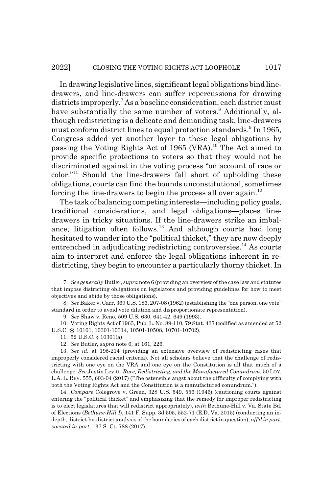In drawing legislative lines, significant legal obligations bind linedrawers, and line-drawers can suffer repercussions for drawing districts improperly.<sup>7</sup> As a baseline consideration, each district must have substantially the same number of voters.<sup>8</sup> Additionally, although redistricting is a delicate and demanding task, line-drawers must conform district lines to equal protection standards.<sup>9</sup> In 1965, Congress added yet another layer to these legal obligations by passing the Voting Rights Act of 1965 (VRA).<sup>10</sup> The Act aimed to provide specific protections to voters so that they would not be discriminated against in the voting process "on account of race or color."11 Should the line-drawers fall short of upholding these obligations, courts can find the bounds unconstitutional, sometimes forcing the line-drawers to begin the process all over again.<sup>12</sup>

The task of balancing competing interests—including policy goals, traditional considerations, and legal obligations—places linedrawers in tricky situations. If the line-drawers strike an imbalance, litigation often follows.<sup>13</sup> And although courts had long hesitated to wander into the "political thicket," they are now deeply entrenched in adjudicating redistricting controversies.<sup>14</sup> As courts aim to interpret and enforce the legal obligations inherent in redistricting, they begin to encounter a particularly thorny thicket. In

10. Voting Rights Act of 1965, Pub. L. No. 89-110, 79 Stat. 437 (codified as amended at 52 U.S.C. §§ 10101, 10301-10314, 10501-10508, 10701-10702).

<sup>7.</sup> *See generally* Butler, *supra* note 6 (providing an overview of the case law and statutes that impose districting obligations on legislators and providing guidelines for how to meet objectives and abide by those obligations).

<sup>8.</sup> *See* Baker v. Carr, 369 U.S. 186, 207-08 (1962) (establishing the "one person, one vote" standard in order to avoid vote dilution and disproportionate representation).

<sup>9.</sup> *See* Shaw v. Reno, 509 U.S. 630, 641-42, 649 (1993).

<sup>11. 52</sup> U.S.C. § 10301(a).

<sup>12.</sup> *See* Butler, *supra* note 6, at 161, 226.

<sup>13.</sup> *See id.* at 195-214 (providing an extensive overview of redistricting cases that improperly considered racial criteria). Not all scholars believe that the challenge of redistricting with one eye on the VRA and one eye on the Constitution is all that much of a challenge. *See* Justin Levitt, *Race, Redistricting, and the Manufactured Conundrum*, 50 LOY. L.A. L. REV. 555, 603-04 (2017) ("The ostensible angst about the difficulty of complying with both the Voting Rights Act and the Constitution is a manufactured conundrum.").

<sup>14.</sup> *Compare* Colegrove v. Green, 328 U.S. 549, 556 (1946) (cautioning courts against entering the "political thicket" and emphasizing that the remedy for improper redistricting is to elect legislatures that will redistrict appropriately), *with* Bethune-Hill v. Va. State Bd. of Elections (*Bethune-Hill I*), 141 F. Supp. 3d 505, 552-71 (E.D. Va. 2015) (conducting an indepth, district-by-district analysis of the boundaries of each district in question), *aff'd in part*, *vacated in part*, 137 S. Ct. 788 (2017).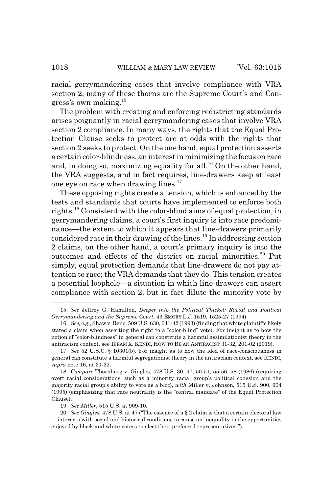racial gerrymandering cases that involve compliance with VRA section 2, many of these thorns are the Supreme Court's and Congress's own making.15

The problem with creating and enforcing redistricting standards arises poignantly in racial gerrymandering cases that involve VRA section 2 compliance. In many ways, the rights that the Equal Protection Clause seeks to protect are at odds with the rights that section 2 seeks to protect. On the one hand, equal protection asserts a certain color-blindness, an interest in minimizing the focus on race and, in doing so, maximizing equality for all.<sup>16</sup> On the other hand, the VRA suggests, and in fact requires, line-drawers keep at least one eye on race when drawing lines.<sup>17</sup>

These opposing rights create a tension, which is enhanced by the tests and standards that courts have implemented to enforce both rights.18 Consistent with the color-blind aims of equal protection, in gerrymandering claims, a court's first inquiry is into race predominance—the extent to which it appears that line-drawers primarily considered race in their drawing of the lines.19 In addressing section 2 claims, on the other hand, a court's primary inquiry is into the outcomes and effects of the district on racial minorities.<sup>20</sup> Put simply, equal protection demands that line-drawers do not pay attention to race; the VRA demands that they do. This tension creates a potential loophole—a situation in which line-drawers can assert compliance with section 2, but in fact dilute the minority vote by

15. *See* Jeffrey G. Hamilton, *Deeper into the Political Thicket: Racial and Political Gerrymandering and the Supreme Court*, 43 EMORY L.J. 1519, 1525-27 (1994).

<sup>16.</sup> *See, e.g.*, Shaw v. Reno, 509 U.S. 630, 641-42 (1993) (finding that white plaintiffs likely stated a claim when asserting the right to a "color-blind" vote). For insight as to how the notion of "color-blindness" in general can constitute a harmful assimilationist theory in the antiracism context, see IBRAM X. KENDI, HOW TO BE AN ANTIRACIST 31-32, 201-02 (2019).

<sup>17.</sup> *See* 52 U.S.C. § 10301(b). For insight as to how the idea of race-consciousness in general can constitute a harmful segregationist theory in the antiracism context, see KENDI, *supra* note 16, at 31-32.

<sup>18.</sup> *Compare* Thornburg v. Gingles, 478 U.S. 30, 47, 50-51, 55-56, 58 (1986) (requiring overt racial considerations, such as a minority racial group's political cohesion and the majority racial group's ability to vote as a bloc), *with* Miller v. Johnson, 515 U.S. 900, 904 (1995) (emphasizing that race neutrality is the "central mandate" of the Equal Protection Clause).

<sup>19.</sup> *See Miller*, 515 U.S. at 909-10.

<sup>20.</sup> *See Gingles*, 478 U.S. at 47 ("The essence of a § 2 claim is that a certain electoral law ... interacts with social and historical conditions to cause an inequality in the opportunities enjoyed by black and white voters to elect their preferred representatives.").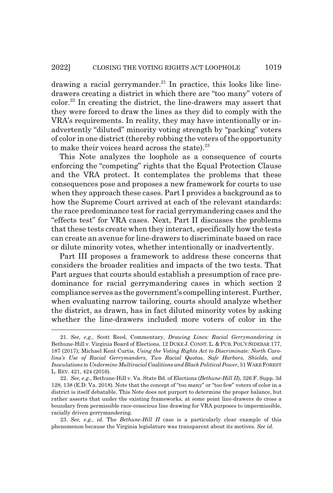drawing a racial gerrymander.<sup>21</sup> In practice, this looks like linedrawers creating a district in which there are "too many" voters of color.22 In creating the district, the line-drawers may assert that they were forced to draw the lines as they did to comply with the VRA's requirements. In reality, they may have intentionally or inadvertently "diluted" minority voting strength by "packing" voters of color in one district (thereby robbing the voters of the opportunity to make their voices heard across the state).<sup>23</sup>

This Note analyzes the loophole as a consequence of courts enforcing the "competing" rights that the Equal Protection Clause and the VRA protect. It contemplates the problems that these consequences pose and proposes a new framework for courts to use when they approach these cases. Part I provides a background as to how the Supreme Court arrived at each of the relevant standards: the race predominance test for racial gerrymandering cases and the "effects test" for VRA cases. Next, Part II discusses the problems that these tests create when they interact, specifically how the tests can create an avenue for line-drawers to discriminate based on race or dilute minority votes, whether intentionally or inadvertently.

Part III proposes a framework to address these concerns that considers the broader realities and impacts of the two tests. That Part argues that courts should establish a presumption of race predominance for racial gerrymandering cases in which section 2 compliance serves as the government's compelling interest. Further, when evaluating narrow tailoring, courts should analyze whether the district, as drawn, has in fact diluted minority votes by asking whether the line-drawers included more voters of color in the

<sup>21.</sup> *See, e.g.*, Scott Reed, Commentary, *Drawing Lines: Racial Gerrymandering in* Bethune-Hill v. Virginia Board of Elections, 12 DUKE J. CONST. L. & PUB. POL'Y SIDEBAR 177, 187 (2017); Michael Kent Curtis, *Using the Voting Rights Act to Discriminate: North Carolina's Use of Racial Gerrymanders, Two Racial Quotas, Safe Harbors, Shields, and Inoculations to Undermine Multiracial Coalitions and Black Political Power*, 51 WAKE FOREST L. REV. 421, 424 (2016).

<sup>22.</sup> *See, e.g.*, Bethune-Hill v. Va. State Bd. of Elections (*Bethune-Hill II*), 326 F. Supp. 3d 128, 138 (E.D. Va. 2018). Note that the concept of "too many" or "too few" voters of color in a district is itself debatable. This Note does not purport to determine the proper balance, but rather asserts that under the existing frameworks, at some point line-drawers do cross a boundary from permissible race-conscious line drawing for VRA purposes to impermissible, racially driven gerrymandering.

<sup>23.</sup> *See, e.g.*, *id.* The *Bethune-Hill II* case is a particularly clear example of this phenomenon because the Virginia legislature was transparent about its motives. *See id.*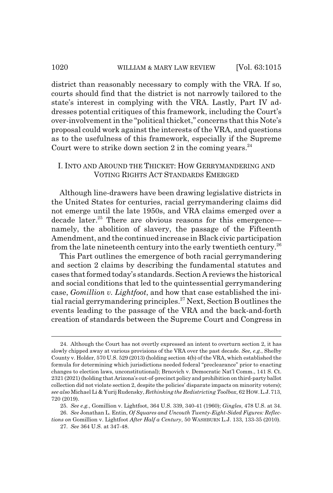district than reasonably necessary to comply with the VRA. If so, courts should find that the district is not narrowly tailored to the state's interest in complying with the VRA. Lastly, Part IV addresses potential critiques of this framework, including the Court's over-involvement in the "political thicket," concerns that this Note's proposal could work against the interests of the VRA, and questions as to the usefulness of this framework, especially if the Supreme Court were to strike down section 2 in the coming years. $24$ 

# I. INTO AND AROUND THE THICKET: HOW GERRYMANDERING AND VOTING RIGHTS ACT STANDARDS EMERGED

Although line-drawers have been drawing legislative districts in the United States for centuries, racial gerrymandering claims did not emerge until the late 1950s, and VRA claims emerged over a decade later.<sup>25</sup> There are obvious reasons for this emergence namely, the abolition of slavery, the passage of the Fifteenth Amendment, and the continued increase in Black civic participation from the late nineteenth century into the early twentieth century.<sup>26</sup>

This Part outlines the emergence of both racial gerrymandering and section 2 claims by describing the fundamental statutes and cases that formed today's standards. Section A reviews the historical and social conditions that led to the quintessential gerrymandering case, *Gomillion v. Lightfoot*, and how that case established the initial racial gerrymandering principles.<sup>27</sup> Next, Section B outlines the events leading to the passage of the VRA and the back-and-forth creation of standards between the Supreme Court and Congress in

<sup>24.</sup> Although the Court has not overtly expressed an intent to overturn section 2, it has slowly chipped away at various provisions of the VRA over the past decade. *See, e.g.*, Shelby County v. Holder, 570 U.S. 529 (2013) (holding section 4(b) of the VRA, which established the formula for determining which jurisdictions needed federal "preclearance" prior to enacting changes to election laws, unconstitutional); Brnovich v. Democratic Nat'l Comm., 141 S. Ct. 2321 (2021) (holding that Arizona's out-of-precinct policy and prohibition on third-party ballot collection did not violate section 2, despite the policies' disparate impacts on minority voters); *see also* Michael Li & Yurij Rudensky, *Rethinking the Redistricting Toolbox*, 62 HOW.L.J.713, 720 (2019).

<sup>25.</sup> *See e.g.*, Gomillion v. Lightfoot, 364 U.S. 339, 340-41 (1960); *Gingles*, 478 U.S. at 34. 26. *See* Jonathan L. Entin, *Of Squares and Uncouth Twenty-Eight-Sided Figures: Reflec-*

*tions on* Gomillion v. Lightfoot *After Half a Century*, 50 WASHBURN L.J. 133, 133-35 (2010). 27. *See* 364 U.S. at 347-48.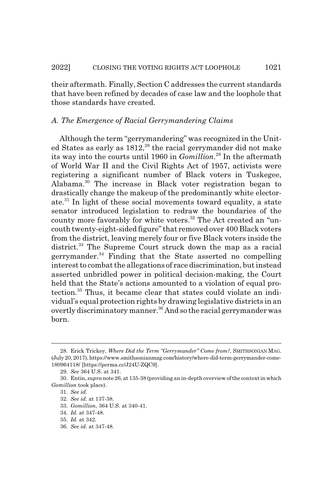their aftermath. Finally, Section C addresses the current standards that have been refined by decades of case law and the loophole that those standards have created.

# *A. The Emergence of Racial Gerrymandering Claims*

Although the term "gerrymandering" was recognized in the United States as early as 1812,<sup>28</sup> the racial gerrymander did not make its way into the courts until 1960 in *Gomillion*. 29 In the aftermath of World War II and the Civil Rights Act of 1957, activists were registering a significant number of Black voters in Tuskegee, Alabama.30 The increase in Black voter registration began to drastically change the makeup of the predominantly white electorate.31 In light of these social movements toward equality, a state senator introduced legislation to redraw the boundaries of the county more favorably for white voters.<sup>32</sup> The Act created an "uncouth twenty-eight-sided figure" that removed over 400 Black voters from the district, leaving merely four or five Black voters inside the district.<sup>33</sup> The Supreme Court struck down the map as a racial gerrymander. $34$  Finding that the State asserted no compelling interest to combat the allegations of race discrimination, but instead asserted unbridled power in political decision-making, the Court held that the State's actions amounted to a violation of equal protection.35 Thus, it became clear that states could violate an individual's equal protection rights by drawing legislative districts in an overtly discriminatory manner.<sup>36</sup> And so the racial gerrymander was born.

<sup>28.</sup> Erick Trickey, *Where Did the Term "Gerrymander" Come from?*, SMITHSONIAN MAG. (July 20, 2017), https://www.smithsonianmag.com/history/where-did-term-gerrymander-come-180964118/ [https://perma.cc/J24U-ZQC9].

<sup>29.</sup> *See* 364 U.S. at 341.

<sup>30.</sup> Entin, *supra* note 26, at 135-38 (providing an in-depth overview of the context in which *Gomillion* took place).

<sup>31.</sup> *See id.*

<sup>32.</sup> *See id.* at 137-38.

<sup>33.</sup> *Gomillion*, 364 U.S. at 340-41.

<sup>34.</sup> *Id.* at 347-48.

<sup>35.</sup> *Id.* at 342.

<sup>36.</sup> *See id.* at 347-48.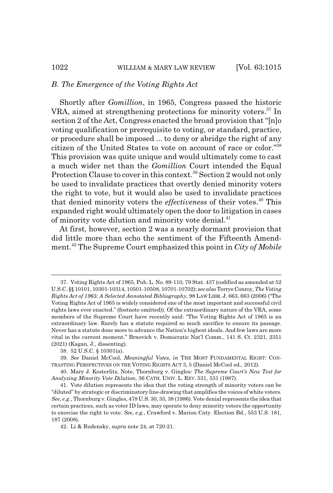#### *B. The Emergence of the Voting Rights Act*

Shortly after *Gomillion*, in 1965, Congress passed the historic VRA, aimed at strengthening protections for minority voters.<sup>37</sup> In section 2 of the Act, Congress enacted the broad provision that "[n]o voting qualification or prerequisite to voting, or standard, practice, or procedure shall be imposed ... to deny or abridge the right of any citizen of the United States to vote on account of race or color."38 This provision was quite unique and would ultimately come to cast a much wider net than the *Gomillion* Court intended the Equal Protection Clause to cover in this context.<sup>39</sup> Section 2 would not only be used to invalidate practices that overtly denied minority voters the right to vote, but it would also be used to invalidate practices that denied minority voters the *effectiveness* of their votes.40 This expanded right would ultimately open the door to litigation in cases of minority vote dilution and minority vote denial.<sup>41</sup>

At first, however, section 2 was a nearly dormant provision that did little more than echo the sentiment of the Fifteenth Amendment.42 The Supreme Court emphasized this point in *City of Mobile*

<sup>37.</sup> Voting Rights Act of 1965, Pub. L. No. 89-110, 79 Stat. 437 (codified as amended at 52 U.S.C. §§ 10101, 10301-10314, 10501-10508, 10701-10702); *see also* Terrye Conroy, *The Voting Rights Act of 1965: A Selected Annotated Bibliography*, 98 LAW LIBR. J. 663, 663 (2006) ("The Voting Rights Act of 1965 is widely considered one of the most important and successful civil rights laws ever enacted." (footnote omitted)). Of the extraordinary nature of the VRA, some members of the Supreme Court have recently said: "The Voting Rights Act of 1965 is an extraordinary law. Rarely has a statute required so much sacrifice to ensure its passage. Never has a statute done more to advance the Nation's highest ideals. And few laws are more vital in the current moment." Brnovich v. Democratic Nat'l Comm., 141 S. Ct. 2321, 2351 (2021) (Kagan, J., dissenting).

<sup>38. 52</sup> U.S.C. § 10301(a).

<sup>39.</sup> *See* Daniel McCool, *Meaningful Votes*, *in* THE MOST FUNDAMENTAL RIGHT: CON-TRASTING PERSPECTIVES ON THE VOTING RIGHTS ACT 3, 5 (Daniel McCool ed., 2012).

<sup>40.</sup> Mary J. Kosterlitz, Note, Thornburg v. Gingles*: The Supreme Court's New Test for Analyzing Minority Vote Dilution*, 36 CATH. UNIV. L. REV. 531, 531 (1987).

<sup>41.</sup> Vote dilution represents the idea that the voting strength of minority voters can be "diluted" by strategic or discriminatory line-drawing that amplifies the voices of white voters. *See, e.g.*, Thornburg v. Gingles, 478 U.S. 30, 35, 38 (1986). Vote denial represents the idea that certain practices, such as voter ID laws, may operate to deny minority voters the opportunity to exercise the right to vote. *See, e.g.*, Crawford v. Marion Cnty. Election Bd., 553 U.S. 181, 187 (2008).

<sup>42.</sup> Li & Rudensky, *supra* note 24, at 720-21.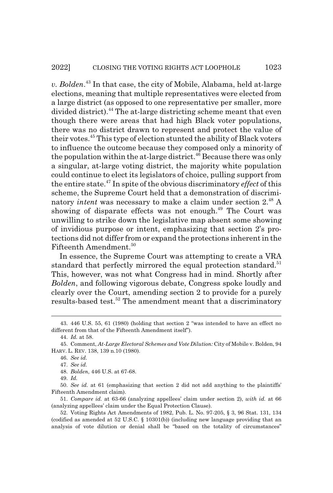*v. Bolden*. 43 In that case, the city of Mobile, Alabama, held at-large elections, meaning that multiple representatives were elected from a large district (as opposed to one representative per smaller, more divided district).<sup>44</sup> The at-large districting scheme meant that even though there were areas that had high Black voter populations, there was no district drawn to represent and protect the value of their votes.45 This type of election stunted the ability of Black voters to influence the outcome because they composed only a minority of the population within the at-large district.<sup>46</sup> Because there was only a singular, at-large voting district, the majority white population could continue to elect its legislators of choice, pulling support from the entire state.47 In spite of the obvious discriminatory *effect* of this scheme, the Supreme Court held that a demonstration of discriminatory *intent* was necessary to make a claim under section 2.48 A showing of disparate effects was not enough.<sup>49</sup> The Court was unwilling to strike down the legislative map absent some showing of invidious purpose or intent, emphasizing that section 2's protections did not differ from or expand the protections inherent in the Fifteenth Amendment.<sup>50</sup>

In essence, the Supreme Court was attempting to create a VRA standard that perfectly mirrored the equal protection standard.<sup>51</sup> This, however, was not what Congress had in mind. Shortly after *Bolden*, and following vigorous debate, Congress spoke loudly and clearly over the Court, amending section 2 to provide for a purely results-based test.<sup>52</sup> The amendment meant that a discriminatory

<sup>43. 446</sup> U.S. 55, 61 (1980) (holding that section 2 "was intended to have an effect no different from that of the Fifteenth Amendment itself").

<sup>44.</sup> *Id.* at 58.

<sup>45.</sup> Comment, *At-Large Electoral Schemes and Vote Dilution:* City of Mobile v. Bolden, 94 HARV. L. REV. 138, 139 n.10 (1980).

<sup>46.</sup> *See id.*

<sup>47.</sup> *See id.*

<sup>48.</sup> *Bolden*, 446 U.S. at 67-68.

<sup>49.</sup> *Id.*

<sup>50.</sup> *See id.* at 61 (emphasizing that section 2 did not add anything to the plaintiffs' Fifteenth Amendment claim).

<sup>51.</sup> *Compare id.* at 63-66 (analyzing appellees' claim under section 2), *with id.* at 66 (analyzing appellees' claim under the Equal Protection Clause).

<sup>52.</sup> Voting Rights Act Amendments of 1982, Pub. L. No. 97-205, § 3, 96 Stat. 131, 134 (codified as amended at 52 U.S.C. § 10301(b)) (including new language providing that an analysis of vote dilution or denial shall be "based on the totality of circumstances"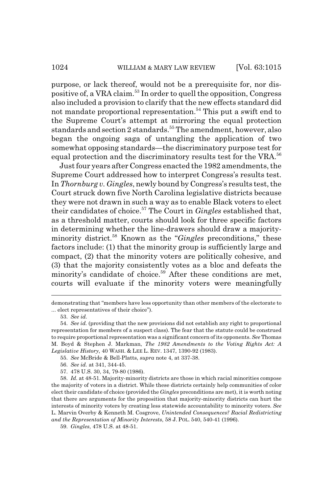purpose, or lack thereof, would not be a prerequisite for, nor dispositive of, a VRA claim.53 In order to quell the opposition, Congress also included a provision to clarify that the new effects standard did not mandate proportional representation.<sup>54</sup> This put a swift end to the Supreme Court's attempt at mirroring the equal protection standards and section 2 standards.<sup>55</sup> The amendment, however, also began the ongoing saga of untangling the application of two somewhat opposing standards—the discriminatory purpose test for equal protection and the discriminatory results test for the VRA.<sup>56</sup>

Just four years after Congress enacted the 1982 amendments, the Supreme Court addressed how to interpret Congress's results test. In *Thornburg v. Gingles*, newly bound by Congress's results test, the Court struck down five North Carolina legislative districts because they were not drawn in such a way as to enable Black voters to elect their candidates of choice.57 The Court in *Gingles* established that, as a threshold matter, courts should look for three specific factors in determining whether the line-drawers should draw a majorityminority district.58 Known as the "*Gingles* preconditions," these factors include: (1) that the minority group is sufficiently large and compact, (2) that the minority voters are politically cohesive, and (3) that the majority consistently votes as a bloc and defeats the minority's candidate of choice.<sup>59</sup> After these conditions are met. courts will evaluate if the minority voters were meaningfully

57. 478 U.S. 30, 34, 79-80 (1986).

demonstrating that "members have less opportunity than other members of the electorate to ... elect representatives of their choice").

<sup>53.</sup> *See id.*

<sup>54.</sup> *See id.* (providing that the new provisions did not establish any right to proportional representation for members of a suspect class). The fear that the statute could be construed to require proportional representation was a significant concern of its opponents. *See* Thomas M. Boyd & Stephen J. Markman, *The 1982 Amendments to the Voting Rights Act: A Legislative History*, 40 WASH.&LEE L. REV. 1347, 1390-92 (1983).

<sup>55.</sup> *See* McBride & Bell-Platts, *supra* note 4, at 337-38.

<sup>56.</sup> *See id.* at 341, 344-45.

<sup>58.</sup> *Id.* at 48-51. Majority-minority districts are those in which racial minorities compose the majority of voters in a district. While these districts certainly help communities of color elect their candidate of choice (provided the *Gingles* preconditions are met), it is worth noting that there are arguments for the proposition that majority-minority districts can hurt the interests of minority voters by creating less statewide accountability to minority voters. *See* L. Marvin Overby & Kenneth M. Cosgrove, *Unintended Consequences? Racial Redistricting and the Representation of Minority Interests*, 58 J. POL. 540, 540-41 (1996).

<sup>59.</sup> *Gingles*, 478 U.S. at 48-51.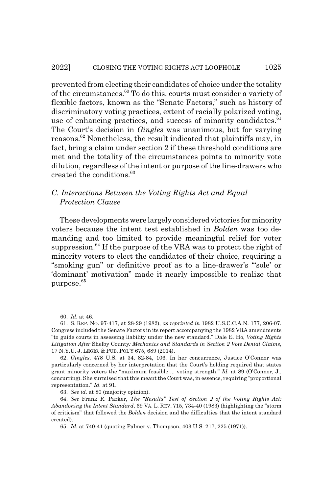prevented from electing their candidates of choice under the totality of the circumstances.60 To do this, courts must consider a variety of flexible factors, known as the "Senate Factors," such as history of discriminatory voting practices, extent of racially polarized voting, use of enhancing practices, and success of minority candidates. $61$ The Court's decision in *Gingles* was unanimous, but for varying reasons.62 Nonetheless, the result indicated that plaintiffs may, in fact, bring a claim under section 2 if these threshold conditions are met and the totality of the circumstances points to minority vote dilution, regardless of the intent or purpose of the line-drawers who created the conditions.<sup>63</sup>

# *C. Interactions Between the Voting Rights Act and Equal Protection Clause*

These developments were largely considered victories for minority voters because the intent test established in *Bolden* was too demanding and too limited to provide meaningful relief for voter suppression.<sup>64</sup> If the purpose of the VRA was to protect the right of minority voters to elect the candidates of their choice, requiring a "smoking gun" or definitive proof as to a line-drawer's "'sole' or 'dominant' motivation" made it nearly impossible to realize that purpose.<sup>65</sup>

63. *See id.* at 80 (majority opinion).

<sup>60.</sup> *Id.* at 46.

<sup>61.</sup> S. REP. NO. 97-417, at 28-29 (1982), *as reprinted in* 1982 U.S.C.C.A.N. 177, 206-07. Congress included the Senate Factors in its report accompanying the 1982 VRA amendments "to guide courts in assessing liability under the new standard." Dale E. Ho, *Voting Rights Litigation After* Shelby County*: Mechanics and Standards in Section 2 Vote Denial Claims*, 17 N.Y.U. J. LEGIS.&PUB. POL'Y 675, 689 (2014).

<sup>62.</sup> *Gingles*, 478 U.S. at 34, 82-84, 106. In her concurrence, Justice O'Connor was particularly concerned by her interpretation that the Court's holding required that states grant minority voters the "maximum feasible ... voting strength." *Id.* at 89 (O'Connor, J., concurring). She surmised that this meant the Court was, in essence, requiring "proportional representation." *Id.* at 91.

<sup>64.</sup> *See* Frank R. Parker, *The "Results" Test of Section 2 of the Voting Rights Act: Abandoning the Intent Standard*, 69 VA. L. REV. 715, 734-40 (1983) (highlighting the "storm of criticism" that followed the *Bolden* decision and the difficulties that the intent standard created).

<sup>65.</sup> *Id.* at 740-41 (quoting Palmer v. Thompson, 403 U.S. 217, 225 (1971)).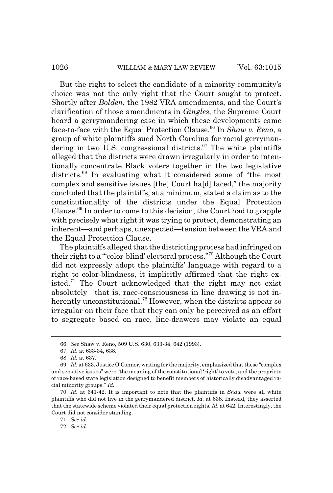But the right to select the candidate of a minority community's choice was not the only right that the Court sought to protect. Shortly after *Bolden*, the 1982 VRA amendments, and the Court's clarification of those amendments in *Gingles*, the Supreme Court heard a gerrymandering case in which these developments came face-to-face with the Equal Protection Clause.<sup>66</sup> In *Shaw v. Reno*, a group of white plaintiffs sued North Carolina for racial gerrymandering in two U.S. congressional districts. $67$  The white plaintiffs alleged that the districts were drawn irregularly in order to intentionally concentrate Black voters together in the two legislative districts.68 In evaluating what it considered some of "the most complex and sensitive issues [the] Court ha[d] faced," the majority concluded that the plaintiffs, at a minimum, stated a claim as to the constitutionality of the districts under the Equal Protection Clause.69 In order to come to this decision, the Court had to grapple with precisely what right it was trying to protect, demonstrating an inherent—and perhaps, unexpected—tension between the VRA and the Equal Protection Clause.

The plaintiffs alleged that the districting process had infringed on their right to a "'color-blind' electoral process."70 Although the Court did not expressly adopt the plaintiffs' language with regard to a right to color-blindness, it implicitly affirmed that the right existed.<sup>71</sup> The Court acknowledged that the right may not exist absolutely—that is, race-consciousness in line drawing is not inherently unconstitutional.<sup>72</sup> However, when the districts appear so irregular on their face that they can only be perceived as an effort to segregate based on race, line-drawers may violate an equal

71. *See id.*

<sup>66.</sup> *See* Shaw v. Reno, 509 U.S. 630, 633-34, 642 (1993).

<sup>67.</sup> *Id.* at 633-34, 638.

<sup>68.</sup> *Id.* at 637.

<sup>69.</sup> *Id.* at 633. Justice O'Connor, writing for the majority, emphasized that these "complex and sensitive issues" were "the meaning of the constitutional 'right' to vote, and the propriety of race-based state legislation designed to benefit members of historically disadvantaged racial minority groups." *Id.*

<sup>70.</sup> *Id.* at 641-42. It is important to note that the plaintiffs in *Shaw* were all white plaintiffs who did not live in the gerrymandered district. *Id.* at 638. Instead, they asserted that the statewide scheme violated their equal protection rights. *Id.* at 642. Interestingly, the Court did not consider standing.

<sup>72.</sup> *See id.*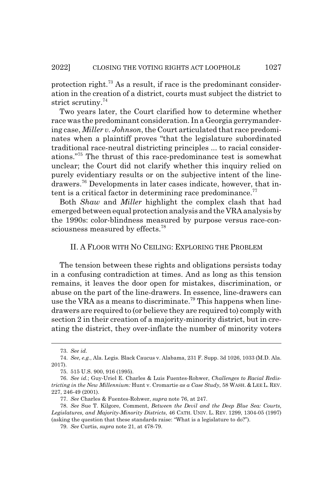protection right.<sup> $73$ </sup> As a result, if race is the predominant consideration in the creation of a district, courts must subject the district to strict scrutiny.<sup>74</sup>

Two years later, the Court clarified how to determine whether race was the predominant consideration. In a Georgia gerrymandering case, *Miller v. Johnson*, the Court articulated that race predominates when a plaintiff proves "that the legislature subordinated traditional race-neutral districting principles ... to racial considerations."75 The thrust of this race-predominance test is somewhat unclear; the Court did not clarify whether this inquiry relied on purely evidentiary results or on the subjective intent of the linedrawers.76 Developments in later cases indicate, however, that intent is a critical factor in determining race predominance. $77$ 

Both *Shaw* and *Miller* highlight the complex clash that had emerged between equal protection analysis and the VRA analysis by the 1990s: color-blindness measured by purpose versus race-consciousness measured by effects.<sup>78</sup>

#### II. A FLOOR WITH NO CEILING: EXPLORING THE PROBLEM

The tension between these rights and obligations persists today in a confusing contradiction at times. And as long as this tension remains, it leaves the door open for mistakes, discrimination, or abuse on the part of the line-drawers. In essence, line-drawers can use the VRA as a means to discriminate.<sup>79</sup> This happens when linedrawers are required to (or believe they are required to) comply with section 2 in their creation of a majority-minority district, but in creating the district, they over-inflate the number of minority voters

<sup>73.</sup> *See id.*

<sup>74.</sup> *See, e.g.*, Ala. Legis. Black Caucus v. Alabama, 231 F. Supp. 3d 1026, 1033 (M.D. Ala. 2017).

<sup>75. 515</sup> U.S. 900, 916 (1995).

<sup>76.</sup> *See id.*; Guy-Uriel E. Charles & Luis Fuentes-Rohwer, *Challenges to Racial Redistricting in the New Millennium:* Hunt v. Cromartie *as a Case Study*, 58 WASH.&LEE L. REV. 227, 246-49 (2001).

<sup>77.</sup> *See* Charles & Fuentes-Rohwer, *supra* note 76, at 247.

<sup>78.</sup> *See* Sue T. Kilgore, Comment, *Between the Devil and the Deep Blue Sea: Courts, Legislatures, and Majority-Minority Districts*, 46 CATH. UNIV. L. REV. 1299, 1304-05 (1997) (asking the question that these standards raise: "What is a legislature to do?").

<sup>79.</sup> *See* Curtis, *supra* note 21, at 478-79.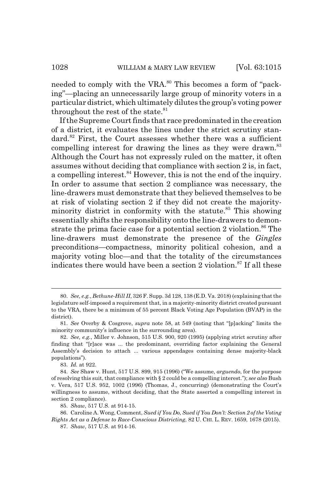needed to comply with the VRA.<sup>80</sup> This becomes a form of "packing"—placing an unnecessarily large group of minority voters in a particular district, which ultimately dilutes the group's voting power throughout the rest of the state. $81$ 

If the Supreme Court finds that race predominated in the creation of a district, it evaluates the lines under the strict scrutiny standard.<sup>82</sup> First, the Court assesses whether there was a sufficient compelling interest for drawing the lines as they were drawn.<sup>83</sup> Although the Court has not expressly ruled on the matter, it often assumes without deciding that compliance with section 2 is, in fact, a compelling interest.<sup>84</sup> However, this is not the end of the inquiry. In order to assume that section 2 compliance was necessary, the line-drawers must demonstrate that they believed themselves to be at risk of violating section 2 if they did not create the majorityminority district in conformity with the statute.<sup>85</sup> This showing essentially shifts the responsibility onto the line-drawers to demonstrate the prima facie case for a potential section 2 violation.<sup>86</sup> The line-drawers must demonstrate the presence of the *Gingles* preconditions—compactness, minority political cohesion, and a majority voting bloc—and that the totality of the circumstances indicates there would have been a section 2 violation. $87$  If all these

<sup>80.</sup> *See, e.g.*, *Bethune-Hill II*, 326 F. Supp. 3d 128, 138 (E.D. Va. 2018) (explaining that the legislature self-imposed a requirement that, in a majority-minority district created pursuant to the VRA, there be a minimum of 55 percent Black Voting Age Population (BVAP) in the district).

<sup>81.</sup> *See* Overby & Cosgrove, *supra* note 58, at 549 (noting that "[p]acking" limits the minority community's influence in the surrounding area).

<sup>82.</sup> *See, e.g.*, Miller v. Johnson, 515 U.S. 900, 920 (1995) (applying strict scrutiny after finding that "[r]ace was ... the predominant, overriding factor explaining the General Assembly's decision to attach ... various appendages containing dense majority-black populations").

<sup>83.</sup> *Id.* at 922.

<sup>84.</sup> *See* Shaw v. Hunt, 517 U.S. 899, 915 (1996) ("We assume, *arguendo*, for the purpose of resolving this suit, that compliance with § 2 could be a compelling interest."); *see also* Bush v. Vera, 517 U.S. 952, 1002 (1996) (Thomas, J., concurring) (demonstrating the Court's willingness to assume, without deciding, that the State asserted a compelling interest in section 2 compliance).

<sup>85.</sup> *Shaw*, 517 U.S. at 914-15.

<sup>86.</sup> Caroline A. Wong, Comment, *Sued if You Do, Sued if You Don't: Section 2 of the Voting Rights Act as a Defense to Race-Conscious Districting*, 82 U. CHI. L. REV. 1659, 1678 (2015).

<sup>87.</sup> *Shaw*, 517 U.S. at 914-16.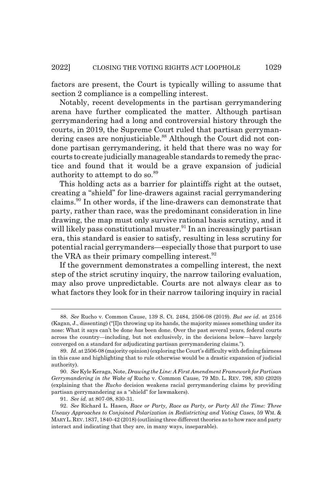factors are present, the Court is typically willing to assume that section 2 compliance is a compelling interest.

Notably, recent developments in the partisan gerrymandering arena have further complicated the matter. Although partisan gerrymandering had a long and controversial history through the courts, in 2019, the Supreme Court ruled that partisan gerrymandering cases are nonjusticiable.<sup>88</sup> Although the Court did not condone partisan gerrymandering, it held that there was no way for courts to create judicially manageable standards to remedy the practice and found that it would be a grave expansion of judicial authority to attempt to do so.<sup>89</sup>

This holding acts as a barrier for plaintiffs right at the outset, creating a "shield" for line-drawers against racial gerrymandering claims.90 In other words, if the line-drawers can demonstrate that party, rather than race, was the predominant consideration in line drawing, the map must only survive rational basis scrutiny, and it will likely pass constitutional muster.<sup>91</sup> In an increasingly partisan era, this standard is easier to satisfy, resulting in less scrutiny for potential racial gerrymanders—especially those that purport to use the VRA as their primary compelling interest.  $92$ 

If the government demonstrates a compelling interest, the next step of the strict scrutiny inquiry, the narrow tailoring evaluation, may also prove unpredictable. Courts are not always clear as to what factors they look for in their narrow tailoring inquiry in racial

<sup>88.</sup> *See* Rucho v. Common Cause, 139 S. Ct. 2484, 2506-08 (2019). *But see id.* at 2516 (Kagan, J., dissenting) ("[I]n throwing up its hands, the majority misses something under its nose: What it says can't be done *has* been done. Over the past several years, federal courts across the country—including, but not exclusively, in the decisions below—have largely converged on a standard for adjudicating partisan gerrymandering claims.").

<sup>89.</sup> *Id.* at 2506-08 (majority opinion) (exploring the Court's difficulty with defining fairness in this case and highlighting that to rule otherwise would be a drastic expansion of judicial authority).

<sup>90.</sup> *See* Kyle Keraga, Note, *Drawing the Line: A First Amendment Framework for Partisan Gerrymandering in the Wake of* Rucho v. Common Cause, 79 MD. L. REV. 798, 830 (2020) (explaining that the *Rucho* decision weakens racial gerrymandering claims by providing partisan gerrymandering as a "shield" for lawmakers).

<sup>91.</sup> *See id.* at 807-08, 830-31.

<sup>92.</sup> *See* Richard L. Hasen, *Race or Party, Race as Party, or Party All the Time: Three Uneasy Approaches to Conjoined Polarization in Redistricting and Voting Cases*, 59 WM. & MARY L.REV.1837, 1840-42 (2018) (outlining three different theories as to how race and party interact and indicating that they are, in many ways, inseparable).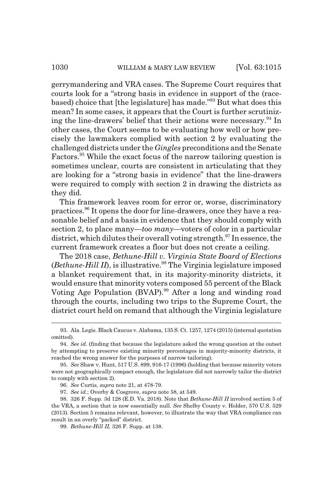gerrymandering and VRA cases. The Supreme Court requires that courts look for a "strong basis in evidence in support of the (racebased) choice that [the legislature] has made."93 But what does this mean? In some cases, it appears that the Court is further scrutinizing the line-drawers' belief that their actions were necessary.<sup>94</sup> In other cases, the Court seems to be evaluating how well or how precisely the lawmakers complied with section 2 by evaluating the challenged districts under the *Gingles* preconditions and the Senate Factors.<sup>95</sup> While the exact focus of the narrow tailoring question is sometimes unclear, courts are consistent in articulating that they are looking for a "strong basis in evidence" that the line-drawers were required to comply with section 2 in drawing the districts as they did.

This framework leaves room for error or, worse, discriminatory practices.96 It opens the door for line-drawers, once they have a reasonable belief and a basis in evidence that they should comply with section 2, to place many—*too many*—voters of color in a particular district, which dilutes their overall voting strength. $97$  In essence, the current framework creates a floor but does not create a ceiling.

The 2018 case, *Bethune-Hill v. Virginia State Board of Elections*  $(Bethune-Hill II)$ , is illustrative.<sup>98</sup> The Virginia legislature imposed a blanket requirement that, in its majority-minority districts, it would ensure that minority voters composed 55 percent of the Black Voting Age Population (BVAP).<sup>99</sup> After a long and winding road through the courts, including two trips to the Supreme Court, the district court held on remand that although the Virginia legislature

<sup>93.</sup> Ala. Legis. Black Caucus v. Alabama, 135 S. Ct. 1257, 1274 (2015) (internal quotation omitted).

<sup>94.</sup> *See id.* (finding that because the legislature asked the wrong question at the outset by attempting to preserve existing minority percentages in majority-minority districts, it reached the wrong answer for the purposes of narrow tailoring).

<sup>95.</sup> *See* Shaw v. Hunt, 517 U.S. 899, 916-17 (1996) (holding that because minority voters were not geographically compact enough, the legislature did not narrowly tailor the district to comply with section 2).

<sup>96.</sup> *See* Curtis, *supra* note 21, at 478-79.

<sup>97.</sup> *See id.*; Overby & Cosgrove, *supra* note 58, at 549.

<sup>98. 326</sup> F. Supp. 3d 128 (E.D. Va. 2018). Note that *Bethune-Hill II* involved section 5 of the VRA, a section that is now essentially null. *See* Shelby County v. Holder, 570 U.S. 529 (2013). Section 5 remains relevant, however, to illustrate the way that VRA compliance can result in an overly "packed" district.

<sup>99.</sup> *Bethune-Hill II*, 326 F. Supp. at 138.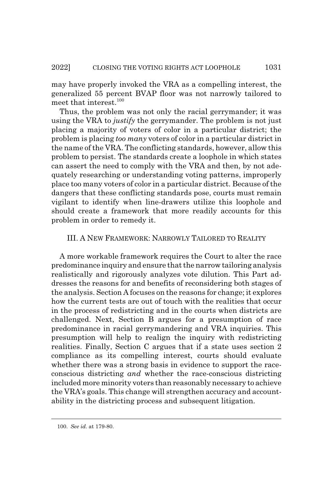may have properly invoked the VRA as a compelling interest, the generalized 55 percent BVAP floor was not narrowly tailored to meet that interest.<sup>100</sup>

Thus, the problem was not only the racial gerrymander; it was using the VRA to *justify* the gerrymander. The problem is not just placing a majority of voters of color in a particular district; the problem is placing *too many* voters of color in a particular district in the name of the VRA. The conflicting standards, however, allow this problem to persist. The standards create a loophole in which states can assert the need to comply with the VRA and then, by not adequately researching or understanding voting patterns, improperly place too many voters of color in a particular district. Because of the dangers that these conflicting standards pose, courts must remain vigilant to identify when line-drawers utilize this loophole and should create a framework that more readily accounts for this problem in order to remedy it.

### III. A NEW FRAMEWORK: NARROWLY TAILORED TO REALITY

A more workable framework requires the Court to alter the race predominance inquiry and ensure that the narrow tailoring analysis realistically and rigorously analyzes vote dilution. This Part addresses the reasons for and benefits of reconsidering both stages of the analysis. Section A focuses on the reasons for change; it explores how the current tests are out of touch with the realities that occur in the process of redistricting and in the courts when districts are challenged. Next, Section B argues for a presumption of race predominance in racial gerrymandering and VRA inquiries. This presumption will help to realign the inquiry with redistricting realities. Finally, Section C argues that if a state uses section 2 compliance as its compelling interest, courts should evaluate whether there was a strong basis in evidence to support the raceconscious districting *and* whether the race-conscious districting included more minority voters than reasonably necessary to achieve the VRA's goals. This change will strengthen accuracy and accountability in the districting process and subsequent litigation.

<sup>100.</sup> *See id.* at 179-80.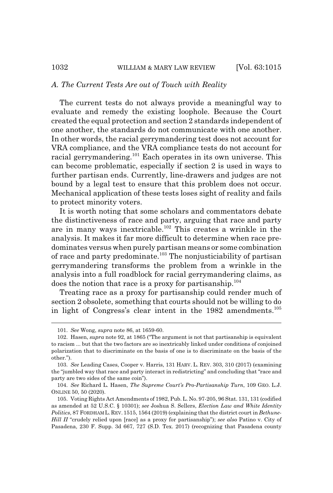### *A. The Current Tests Are out of Touch with Reality*

The current tests do not always provide a meaningful way to evaluate and remedy the existing loophole. Because the Court created the equal protection and section 2 standards independent of one another, the standards do not communicate with one another. In other words, the racial gerrymandering test does not account for VRA compliance, and the VRA compliance tests do not account for racial gerrymandering.<sup>101</sup> Each operates in its own universe. This can become problematic, especially if section 2 is used in ways to further partisan ends. Currently, line-drawers and judges are not bound by a legal test to ensure that this problem does not occur. Mechanical application of these tests loses sight of reality and fails to protect minority voters.

It is worth noting that some scholars and commentators debate the distinctiveness of race and party, arguing that race and party are in many ways inextricable.<sup>102</sup> This creates a wrinkle in the analysis. It makes it far more difficult to determine when race predominates versus when purely partisan means or some combination of race and party predominate.<sup>103</sup> The nonjusticiability of partisan gerrymandering transforms the problem from a wrinkle in the analysis into a full roadblock for racial gerrymandering claims, as does the notion that race is a proxy for partisanship. $104$ 

Treating race as a proxy for partisanship could render much of section 2 obsolete, something that courts should not be willing to do in light of Congress's clear intent in the 1982 amendments.<sup>105</sup>

<sup>101.</sup> *See* Wong, *supra* note 86, at 1659-60.

<sup>102.</sup> Hasen, *supra* note 92, at 1865 ("The argument is not that partisanship is equivalent to racism ... but that the two factors are so inextricably linked under conditions of conjoined polarization that to discriminate on the basis of one is to discriminate on the basis of the other.").

<sup>103.</sup> *See* Leading Cases, Cooper v. Harris, 131 HARV. L. REV. 303, 310 (2017) (examining the "jumbled way that race and party interact in redistricting" and concluding that "race and party are two sides of the same coin").

<sup>104.</sup> *See* Richard L. Hasen, *The Supreme Court's Pro-Partisanship Turn*, 109 GEO. L.J. ONLINE 50, 50 (2020).

<sup>105.</sup> Voting Rights Act Amendments of 1982, Pub. L. No. 97-205, 96 Stat. 131, 131 (codified as amended at 52 U.S.C. § 10301); *see* Joshua S. Sellers, *Election Law and White Identity Politics*, 87 FORDHAM L. REV. 1515, 1564 (2019) (explaining that the district court in *Bethune-Hill II* "crudely relied upon [race] as a proxy for partisanship"); *see also* Patino v. City of Pasadena, 230 F. Supp. 3d 667, 727 (S.D. Tex. 2017) (recognizing that Pasadena county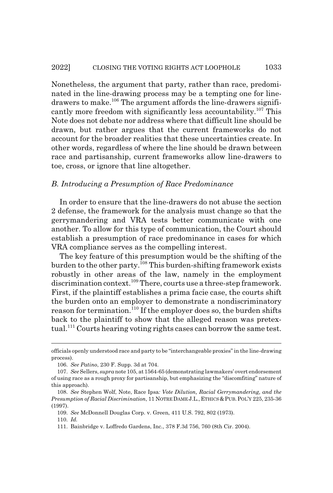Nonetheless, the argument that party, rather than race, predominated in the line-drawing process may be a tempting one for linedrawers to make.<sup>106</sup> The argument affords the line-drawers significantly more freedom with significantly less accountability.<sup>107</sup> This Note does not debate nor address where that difficult line should be drawn, but rather argues that the current frameworks do not account for the broader realities that these uncertainties create. In other words, regardless of where the line should be drawn between race and partisanship, current frameworks allow line-drawers to toe, cross, or ignore that line altogether.

#### *B. Introducing a Presumption of Race Predominance*

In order to ensure that the line-drawers do not abuse the section 2 defense, the framework for the analysis must change so that the gerrymandering and VRA tests better communicate with one another. To allow for this type of communication, the Court should establish a presumption of race predominance in cases for which VRA compliance serves as the compelling interest.

The key feature of this presumption would be the shifting of the burden to the other party.<sup>108</sup> This burden-shifting framework exists robustly in other areas of the law, namely in the employment discrimination context.<sup>109</sup> There, courts use a three-step framework. First, if the plaintiff establishes a prima facie case, the courts shift the burden onto an employer to demonstrate a nondiscriminatory reason for termination.<sup>110</sup> If the employer does so, the burden shifts back to the plaintiff to show that the alleged reason was pretextual.<sup>111</sup> Courts hearing voting rights cases can borrow the same test.

110. *Id.*

officials openly understood race and party to be "interchangeable proxies" in the line-drawing process).

<sup>106.</sup> *See Patino*, 230 F. Supp. 3d at 704.

<sup>107.</sup> *See* Sellers, *supra* note 105, at 1564-65 (demonstrating lawmakers' overt endorsement of using race as a rough proxy for partisanship, but emphasizing the "discomfiting" nature of this approach).

<sup>108.</sup> *See* Stephen Wolf, Note, Race Ipsa*: Vote Dilution, Racial Gerrymandering, and the Presumption of Racial Discrimination*, 11 NOTRE DAME J.L., ETHICS &PUB.POL'Y 225, 235-36 (1997).

<sup>109.</sup> *See* McDonnell Douglas Corp. v. Green, 411 U.S. 792, 802 (1973).

<sup>111.</sup> Bainbridge v. Loffredo Gardens, Inc., 378 F.3d 756, 760 (8th Cir. 2004).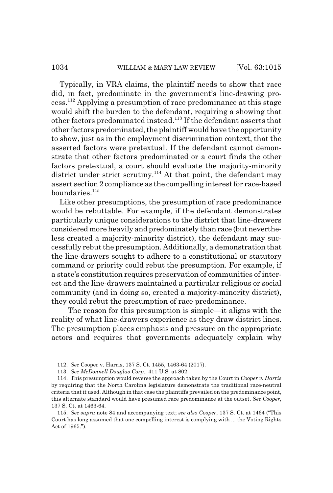#### 1034 WILLIAM & MARY LAW REVIEW [Vol. 63:1015]

Typically, in VRA claims, the plaintiff needs to show that race did, in fact, predominate in the government's line-drawing process.112 Applying a presumption of race predominance at this stage would shift the burden to the defendant, requiring a showing that other factors predominated instead.113 If the defendant asserts that other factors predominated, the plaintiff would have the opportunity to show, just as in the employment discrimination context, that the asserted factors were pretextual. If the defendant cannot demonstrate that other factors predominated or a court finds the other factors pretextual, a court should evaluate the majority-minority district under strict scrutiny.<sup>114</sup> At that point, the defendant may assert section 2 compliance as the compelling interest for race-based  $boundaries.<sup>115</sup>$ 

Like other presumptions, the presumption of race predominance would be rebuttable. For example, if the defendant demonstrates particularly unique considerations to the district that line-drawers considered more heavily and predominately than race (but nevertheless created a majority-minority district), the defendant may successfully rebut the presumption. Additionally, a demonstration that the line-drawers sought to adhere to a constitutional or statutory command or priority could rebut the presumption. For example, if a state's constitution requires preservation of communities of interest and the line-drawers maintained a particular religious or social community (and in doing so, created a majority-minority district), they could rebut the presumption of race predominance.

The reason for this presumption is simple—it aligns with the reality of what line-drawers experience as they draw district lines. The presumption places emphasis and pressure on the appropriate actors and requires that governments adequately explain why

<sup>112.</sup> *See* Cooper v. Harris, 137 S. Ct. 1455, 1463-64 (2017).

<sup>113.</sup> *See McDonnell Douglas Corp.*, 411 U.S. at 802.

<sup>114.</sup> This presumption would reverse the approach taken by the Court in *Cooper v. Harris* by requiring that the North Carolina legislature demonstrate the traditional race-neutral criteria that it used. Although in that case the plaintiffs prevailed on the predominance point, this alternate standard would have presumed race predominance at the outset. *See Cooper*, 137 S. Ct. at 1463-64.

<sup>115.</sup> *See supra* note 84 and accompanying text; *see also Cooper*, 137 S. Ct. at 1464 ("This Court has long assumed that one compelling interest is complying with ... the Voting Rights Act of 1965.").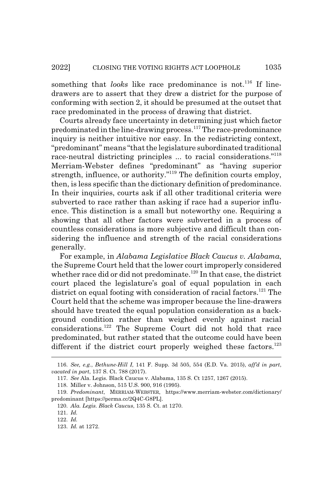something that *looks* like race predominance is not.<sup>116</sup> If linedrawers are to assert that they drew a district for the purpose of conforming with section 2, it should be presumed at the outset that race predominated in the process of drawing that district.

Courts already face uncertainty in determining just which factor predominated in the line-drawing process.117 The race-predominance inquiry is neither intuitive nor easy. In the redistricting context, "predominant" means "that the legislature subordinated traditional race-neutral districting principles ... to racial considerations."<sup>118</sup> Merriam-Webster defines "predominant" as "having superior strength, influence, or authority."<sup>119</sup> The definition courts employ, then, is less specific than the dictionary definition of predominance. In their inquiries, courts ask if all other traditional criteria were subverted to race rather than asking if race had a superior influence. This distinction is a small but noteworthy one. Requiring a showing that all other factors were subverted in a process of countless considerations is more subjective and difficult than considering the influence and strength of the racial considerations generally.

For example, in *Alabama Legislative Black Caucus v. Alabama*, the Supreme Court held that the lower court improperly considered whether race did or did not predominate.<sup>120</sup> In that case, the district court placed the legislature's goal of equal population in each district on equal footing with consideration of racial factors.<sup>121</sup> The Court held that the scheme was improper because the line-drawers should have treated the equal population consideration as a background condition rather than weighed evenly against racial considerations.122 The Supreme Court did not hold that race predominated, but rather stated that the outcome could have been different if the district court properly weighed these factors.<sup>123</sup>

<sup>116.</sup> *See, e.g.*, *Bethune-Hill I*, 141 F. Supp. 3d 505, 554 (E.D. Va. 2015), *aff'd in part*, *vacated in part*, 137 S. Ct. 788 (2017).

<sup>117.</sup> *See* Ala. Legis. Black Caucus v. Alabama, 135 S. Ct 1257, 1267 (2015).

<sup>118.</sup> Miller v. Johnson, 515 U.S. 900, 916 (1995).

<sup>119.</sup> *Predominant*, MERRIAM-WEBSTER, https://www.merriam-webster.com/dictionary/ predominant [https://perma.cc/2Q4C-G8PL].

<sup>120.</sup> *Ala. Legis. Black Caucus*, 135 S. Ct. at 1270.

<sup>121.</sup> *Id.*

<sup>122.</sup> *Id.*

<sup>123.</sup> *Id.* at 1272.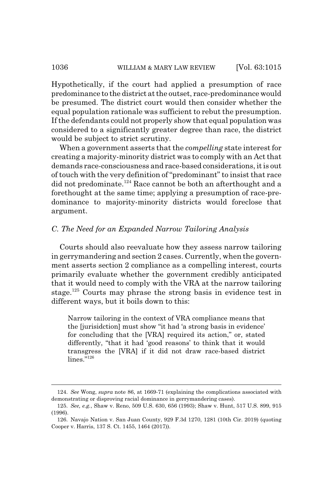Hypothetically, if the court had applied a presumption of race predominance to the district at the outset, race-predominance would be presumed. The district court would then consider whether the equal population rationale was sufficient to rebut the presumption. If the defendants could not properly show that equal population was considered to a significantly greater degree than race, the district would be subject to strict scrutiny.

When a government asserts that the *compelling* state interest for creating a majority-minority district was to comply with an Act that demands race-consciousness and race-based considerations, it is out of touch with the very definition of "predominant" to insist that race did not predominate.<sup>124</sup> Race cannot be both an afterthought and a forethought at the same time; applying a presumption of race-predominance to majority-minority districts would foreclose that argument.

#### *C. The Need for an Expanded Narrow Tailoring Analysis*

Courts should also reevaluate how they assess narrow tailoring in gerrymandering and section 2 cases. Currently, when the government asserts section 2 compliance as a compelling interest, courts primarily evaluate whether the government credibly anticipated that it would need to comply with the VRA at the narrow tailoring stage.125 Courts may phrase the strong basis in evidence test in different ways, but it boils down to this:

Narrow tailoring in the context of VRA compliance means that the [jurisidction] must show "it had 'a strong basis in evidence' for concluding that the [VRA] required its action," or, stated differently, "that it had 'good reasons' to think that it would transgress the [VRA] if it did not draw race-based district lines."<sup>126</sup>

<sup>124.</sup> *See* Wong, *supra* note 86, at 1669-71 (explaining the complications associated with demonstrating or disproving racial dominance in gerrymandering cases).

<sup>125.</sup> *See, e.g.*, Shaw v. Reno, 509 U.S. 630, 656 (1993); Shaw v. Hunt, 517 U.S. 899, 915 (1996).

<sup>126.</sup> Navajo Nation v. San Juan County, 929 F.3d 1270, 1281 (10th Cir. 2019) (quoting Cooper v. Harris, 137 S. Ct. 1455, 1464 (2017)).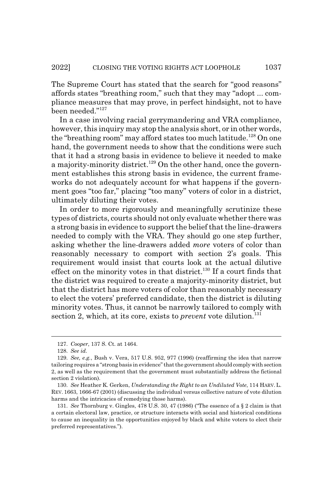The Supreme Court has stated that the search for "good reasons" affords states "breathing room," such that they may "adopt ... compliance measures that may prove, in perfect hindsight, not to have been needed."<sup>127</sup>

In a case involving racial gerrymandering and VRA compliance, however, this inquiry may stop the analysis short, or in other words, the "breathing room" may afford states too much latitude.<sup>128</sup> On one hand, the government needs to show that the conditions were such that it had a strong basis in evidence to believe it needed to make a majority-minority district.<sup>129</sup> On the other hand, once the government establishes this strong basis in evidence, the current frameworks do not adequately account for what happens if the government goes "too far," placing "too many" voters of color in a district, ultimately diluting their votes.

In order to more rigorously and meaningfully scrutinize these types of districts, courts should not only evaluate whether there was a strong basis in evidence to support the belief that the line-drawers needed to comply with the VRA. They should go one step further, asking whether the line-drawers added *more* voters of color than reasonably necessary to comport with section 2's goals. This requirement would insist that courts look at the actual dilutive effect on the minority votes in that district.<sup>130</sup> If a court finds that the district was required to create a majority-minority district, but that the district has more voters of color than reasonably necessary to elect the voters' preferred candidate, then the district is diluting minority votes. Thus, it cannot be narrowly tailored to comply with section 2, which, at its core, exists to *prevent* vote dilution.<sup>131</sup>

<sup>127.</sup> *Cooper*, 137 S. Ct. at 1464.

<sup>128.</sup> *See id.*

<sup>129.</sup> *See, e.g.*, Bush v. Vera, 517 U.S. 952, 977 (1996) (reaffirming the idea that narrow tailoring requires a "strong basis in evidence" that the government should comply with section 2, as well as the requirement that the government must substantially address the fictional section 2 violation).

<sup>130.</sup> *See* Heather K. Gerken, *Understanding the Right to an Undiluted Vote*, 114 HARV. L. REV. 1663, 1666-67 (2001) (discussing the individual versus collective nature of vote dilution harms and the intricacies of remedying those harms).

<sup>131.</sup> *See* Thornburg v. Gingles, 478 U.S. 30, 47 (1986) ("The essence of a § 2 claim is that a certain electoral law, practice, or structure interacts with social and historical conditions to cause an inequality in the opportunities enjoyed by black and white voters to elect their preferred representatives.").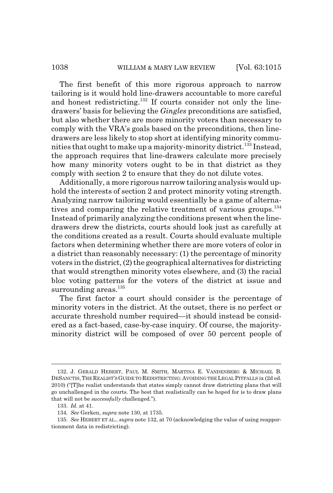The first benefit of this more rigorous approach to narrow tailoring is it would hold line-drawers accountable to more careful and honest redistricting.<sup>132</sup> If courts consider not only the linedrawers' basis for believing the *Gingles* preconditions are satisfied, but also whether there are more minority voters than necessary to comply with the VRA's goals based on the preconditions, then linedrawers are less likely to stop short at identifying minority communities that ought to make up a majority-minority district.133 Instead, the approach requires that line-drawers calculate more precisely how many minority voters ought to be in that district as they comply with section 2 to ensure that they do not dilute votes.

Additionally, a more rigorous narrow tailoring analysis would uphold the interests of section 2 and protect minority voting strength. Analyzing narrow tailoring would essentially be a game of alternatives and comparing the relative treatment of various groups.<sup>134</sup> Instead of primarily analyzing the conditions present when the linedrawers drew the districts, courts should look just as carefully at the conditions created as a result. Courts should evaluate multiple factors when determining whether there are more voters of color in a district than reasonably necessary: (1) the percentage of minority voters in the district, (2) the geographical alternatives for districting that would strengthen minority votes elsewhere, and (3) the racial bloc voting patterns for the voters of the district at issue and surrounding areas.<sup>135</sup>

The first factor a court should consider is the percentage of minority voters in the district. At the outset, there is no perfect or accurate threshold number required—it should instead be considered as a fact-based, case-by-case inquiry. Of course, the majorityminority district will be composed of over 50 percent people of

<sup>132.</sup> J. GERALD HEBERT, PAUL M. SMITH, MARTINA E. VANDENBERG & MICHAEL B. DESANCTIS, THE REALIST'SGUIDE TO REDISTRICTING: AVOIDING THE LEGAL PITFALLS ix (2d ed. 2010) ("[T]he realist understands that states simply cannot draw districting plans that will go unchallenged in the courts. The best that realistically can be hoped for is to draw plans that will not be *successfully* challenged.").

<sup>133.</sup> *Id.* at 41.

<sup>134.</sup> *See* Gerken, *supra* note 130, at 1735.

<sup>135.</sup> *See* HEBERT ET AL., *supra* note 132, at 70 (acknowledging the value of using reapportionment data in redistricting).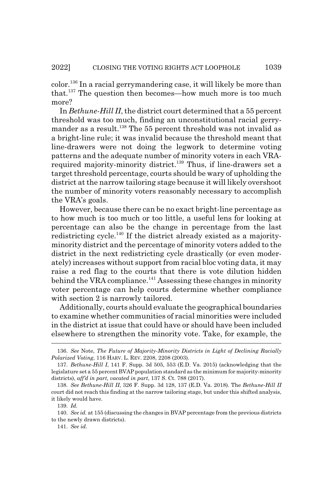color.136 In a racial gerrymandering case, it will likely be more than that.137 The question then becomes—how much more is too much more?

In *Bethune-Hill II*, the district court determined that a 55 percent threshold was too much, finding an unconstitutional racial gerrymander as a result.<sup>138</sup> The 55 percent threshold was not invalid as a bright-line rule; it was invalid because the threshold meant that line-drawers were not doing the legwork to determine voting patterns and the adequate number of minority voters in each VRArequired majority-minority district.<sup>139</sup> Thus, if line-drawers set a target threshold percentage, courts should be wary of upholding the district at the narrow tailoring stage because it will likely overshoot the number of minority voters reasonably necessary to accomplish the VRA's goals.

However, because there can be no exact bright-line percentage as to how much is too much or too little, a useful lens for looking at percentage can also be the change in percentage from the last redistricting cycle.<sup>140</sup> If the district already existed as a majorityminority district and the percentage of minority voters added to the district in the next redistricting cycle drastically (or even moderately) increases without support from racial bloc voting data, it may raise a red flag to the courts that there is vote dilution hidden behind the VRA compliance.<sup>141</sup> Assessing these changes in minority voter percentage can help courts determine whether compliance with section 2 is narrowly tailored.

Additionally, courts should evaluate the geographical boundaries to examine whether communities of racial minorities were included in the district at issue that could have or should have been included elsewhere to strengthen the minority vote. Take, for example, the

<sup>136.</sup> *See* Note, *The Future of Majority-Minority Districts in Light of Declining Racially Polarized Voting*, 116 HARV. L. REV. 2208, 2208 (2003).

<sup>137.</sup> *Bethune-Hill I*, 141 F. Supp. 3d 505, 553 (E.D. Va. 2015) (acknowledging that the legislature set a 55 percent BVAP population standard as the minimum for majority-minority districts), *aff'd in part*, *vacated in part*, 137 S. Ct. 788 (2017).

<sup>138.</sup> *See Bethune-Hill II*, 326 F. Supp. 3d 128, 137 (E.D. Va. 2018)*.* The *Bethune-Hill II* court did not reach this finding at the narrow tailoring stage, but under this shifted analysis, it likely would have.

<sup>139.</sup> *Id.*

<sup>140.</sup> *See id.* at 155 (discussing the changes in BVAP percentage from the previous districts to the newly drawn districts).

<sup>141.</sup> *See id.*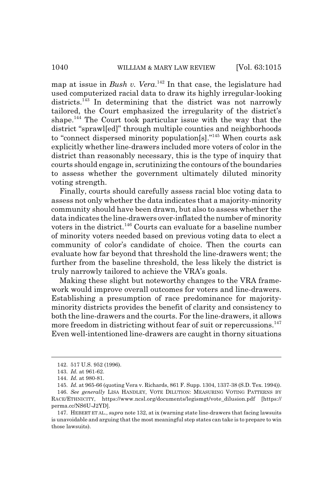map at issue in *Bush v. Vera*. 142 In that case, the legislature had used computerized racial data to draw its highly irregular-looking districts.<sup>143</sup> In determining that the district was not narrowly tailored, the Court emphasized the irregularity of the district's shape.144 The Court took particular issue with the way that the district "sprawl[ed]" through multiple counties and neighborhoods to "connect dispersed minority population[s]."145 When courts ask explicitly whether line-drawers included more voters of color in the district than reasonably necessary, this is the type of inquiry that courts should engage in, scrutinizing the contours of the boundaries to assess whether the government ultimately diluted minority voting strength.

Finally, courts should carefully assess racial bloc voting data to assess not only whether the data indicates that a majority-minority community should have been drawn, but also to assess whether the data indicates the line-drawers over-inflated the number of minority voters in the district.<sup>146</sup> Courts can evaluate for a baseline number of minority voters needed based on previous voting data to elect a community of color's candidate of choice. Then the courts can evaluate how far beyond that threshold the line-drawers went; the further from the baseline threshold, the less likely the district is truly narrowly tailored to achieve the VRA's goals.

Making these slight but noteworthy changes to the VRA framework would improve overall outcomes for voters and line-drawers. Establishing a presumption of race predominance for majorityminority districts provides the benefit of clarity and consistency to both the line-drawers and the courts. For the line-drawers, it allows more freedom in districting without fear of suit or repercussions.<sup>147</sup> Even well-intentioned line-drawers are caught in thorny situations

<sup>142. 517</sup> U.S. 952 (1996).

<sup>143.</sup> *Id.* at 961-62.

<sup>144.</sup> *Id.* at 980-81.

<sup>145.</sup> *Id.* at 965-66 (quoting Vera v. Richards, 861 F. Supp. 1304, 1337-38 (S.D. Tex. 1994)).

<sup>146.</sup> *See generally* LISA HANDLEY, VOTE DILUTION: MEASURING VOTING PATTERNS BY RACE/ETHNICITY, https://www.ncsl.org/documents/legismgt/vote\_dilusion.pdf [https:// perma.cc/NS6U-J2YD].

<sup>147.</sup> HEBERT ET AL., *supra* note 132, at ix (warning state line-drawers that facing lawsuits is unavoidable and arguing that the most meaningful step states can take is to prepare to win those lawsuits).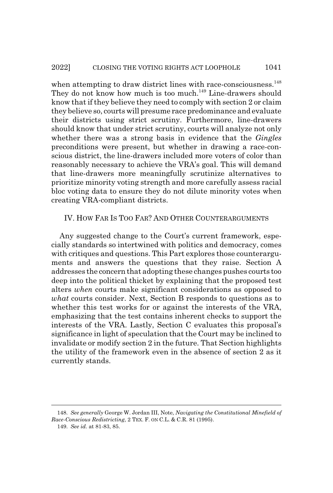when attempting to draw district lines with race-consciousness.<sup>148</sup> They do not know how much is too much.<sup>149</sup> Line-drawers should know that if they believe they need to comply with section 2 or claim they believe so, courts will presume race predominance and evaluate their districts using strict scrutiny. Furthermore, line-drawers should know that under strict scrutiny, courts will analyze not only whether there was a strong basis in evidence that the *Gingles* preconditions were present, but whether in drawing a race-conscious district, the line-drawers included more voters of color than reasonably necessary to achieve the VRA's goal. This will demand that line-drawers more meaningfully scrutinize alternatives to prioritize minority voting strength and more carefully assess racial bloc voting data to ensure they do not dilute minority votes when creating VRA-compliant districts.

### IV. HOW FAR IS TOO FAR? AND OTHER COUNTERARGUMENTS

Any suggested change to the Court's current framework, especially standards so intertwined with politics and democracy, comes with critiques and questions. This Part explores those counterarguments and answers the questions that they raise. Section A addresses the concern that adopting these changes pushes courts too deep into the political thicket by explaining that the proposed test alters *when* courts make significant considerations as opposed to *what* courts consider. Next, Section B responds to questions as to whether this test works for or against the interests of the VRA, emphasizing that the test contains inherent checks to support the interests of the VRA. Lastly, Section C evaluates this proposal's significance in light of speculation that the Court may be inclined to invalidate or modify section 2 in the future. That Section highlights the utility of the framework even in the absence of section 2 as it currently stands.

<sup>148.</sup> *See generally* George W. Jordan III, Note, *Navigating the Constitutional Minefield of Race-Conscious Redistricting*, 2 TEX. F. ON C.L. & C.R. 81 (1995).

<sup>149.</sup> *See id.* at 81-83, 85.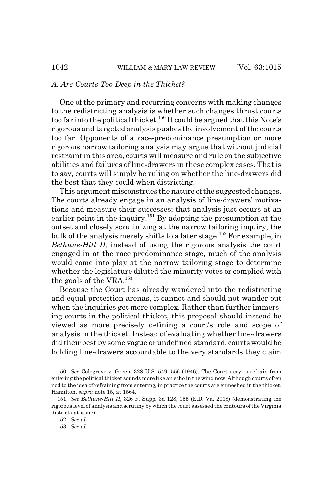#### *A. Are Courts Too Deep in the Thicket?*

One of the primary and recurring concerns with making changes to the redistricting analysis is whether such changes thrust courts too far into the political thicket.<sup>150</sup> It could be argued that this Note's rigorous and targeted analysis pushes the involvement of the courts too far. Opponents of a race-predominance presumption or more rigorous narrow tailoring analysis may argue that without judicial restraint in this area, courts will measure and rule on the subjective abilities and failures of line-drawers in these complex cases. That is to say, courts will simply be ruling on whether the line-drawers did the best that they could when districting.

This argument misconstrues the nature of the suggested changes. The courts already engage in an analysis of line-drawers' motivations and measure their successes; that analysis just occurs at an earlier point in the inquiry.<sup>151</sup> By adopting the presumption at the outset and closely scrutinizing at the narrow tailoring inquiry, the bulk of the analysis merely shifts to a later stage.<sup>152</sup> For example, in *Bethune-Hill II*, instead of using the rigorous analysis the court engaged in at the race predominance stage, much of the analysis would come into play at the narrow tailoring stage to determine whether the legislature diluted the minority votes or complied with the goals of the VRA.<sup>153</sup>

Because the Court has already wandered into the redistricting and equal protection arenas, it cannot and should not wander out when the inquiries get more complex. Rather than further immersing courts in the political thicket, this proposal should instead be viewed as more precisely defining a court's role and scope of analysis in the thicket. Instead of evaluating whether line-drawers did their best by some vague or undefined standard, courts would be holding line-drawers accountable to the very standards they claim

<sup>150.</sup> *See* Colegrove v. Green, 328 U.S. 549, 556 (1946). The Court's cry to refrain from entering the political thicket sounds more like an echo in the wind now. Although courts often nod to the idea of refraining from entering, in practice the courts are enmeshed in the thicket. Hamilton, *supra* note 15, at 1564.

<sup>151.</sup> *See Bethune-Hill II*, 326 F. Supp. 3d 128, 155 (E.D. Va. 2018) (demonstrating the rigorous level of analysis and scrutiny by which the court assessed the contours of the Virginia districts at issue).

<sup>152.</sup> *See id.*

<sup>153.</sup> *See id.*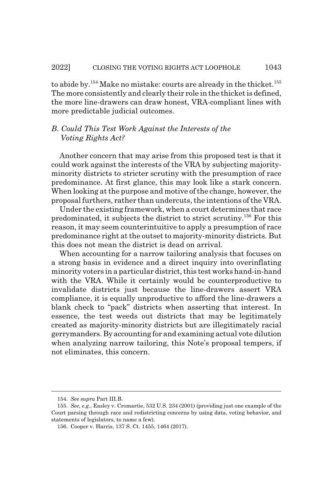to abide by.<sup>154</sup> Make no mistake: courts are already in the thicket.<sup>155</sup> The more consistently and clearly their role in the thicket is defined, the more line-drawers can draw honest, VRA-compliant lines with more predictable judicial outcomes.

# *B. Could This Test Work Against the Interests of the Voting Rights Act?*

Another concern that may arise from this proposed test is that it could work against the interests of the VRA by subjecting majorityminority districts to stricter scrutiny with the presumption of race predominance. At first glance, this may look like a stark concern. When looking at the purpose and motive of the change, however, the proposal furthers, rather than undercuts, the intentions of the VRA.

Under the existing framework, when a court determines that race predominated, it subjects the district to strict scrutiny.156 For this reason, it may seem counterintuitive to apply a presumption of race predominance right at the outset to majority-minority districts. But this does not mean the district is dead on arrival.

When accounting for a narrow tailoring analysis that focuses on a strong basis in evidence and a direct inquiry into overinflating minority voters in a particular district, this test works hand-in-hand with the VRA. While it certainly would be counterproductive to invalidate districts just because the line-drawers assert VRA compliance, it is equally unproductive to afford the line-drawers a blank check to "pack" districts when asserting that interest. In essence, the test weeds out districts that may be legitimately created as majority-minority districts but are illegitimately racial gerrymanders. By accounting for and examining actual vote dilution when analyzing narrow tailoring, this Note's proposal tempers, if not eliminates, this concern.

<sup>154.</sup> *See supra* Part III.B.

<sup>155.</sup> *See, e.g.*, Easley v. Cromartie, 532 U.S. 234 (2001) (providing just one example of the Court parsing through race and redistricting concerns by using data, voting behavior, and statements of legislators, to name a few).

<sup>156.</sup> Cooper v. Harris, 137 S. Ct. 1455, 1464 (2017).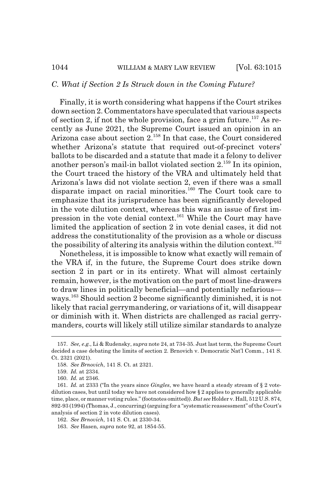#### *C. What if Section 2 Is Struck down in the Coming Future?*

Finally, it is worth considering what happens if the Court strikes down section 2. Commentators have speculated that various aspects of section 2, if not the whole provision, face a grim future.<sup>157</sup> As recently as June 2021, the Supreme Court issued an opinion in an Arizona case about section  $2^{158}$  In that case, the Court considered whether Arizona's statute that required out-of-precinct voters' ballots to be discarded and a statute that made it a felony to deliver another person's mail-in ballot violated section  $2^{159}$  In its opinion, the Court traced the history of the VRA and ultimately held that Arizona's laws did not violate section 2, even if there was a small disparate impact on racial minorities.<sup>160</sup> The Court took care to emphasize that its jurisprudence has been significantly developed in the vote dilution context, whereas this was an issue of first impression in the vote denial context.161 While the Court may have limited the application of section 2 in vote denial cases, it did not address the constitutionality of the provision as a whole or discuss the possibility of altering its analysis within the dilution context.<sup>162</sup>

Nonetheless, it is impossible to know what exactly will remain of the VRA if, in the future, the Supreme Court does strike down section 2 in part or in its entirety. What will almost certainly remain, however, is the motivation on the part of most line-drawers to draw lines in politically beneficial—and potentially nefarious ways.163 Should section 2 become significantly diminished, it is not likely that racial gerrymandering, or variations of it, will disappear or diminish with it. When districts are challenged as racial gerrymanders, courts will likely still utilize similar standards to analyze

<sup>157.</sup> *See, e.g.*, Li & Rudensky, *supra* note 24, at 734-35. Just last term, the Supreme Court decided a case debating the limits of section 2. Brnovich v. Democratic Nat'l Comm., 141 S. Ct. 2321 (2021).

<sup>158.</sup> *See Brnovich*, 141 S. Ct. at 2321.

<sup>159.</sup> *Id.* at 2334.

<sup>160.</sup> *Id.* at 2346.

<sup>161.</sup> *Id.* at 2333 ("In the years since *Gingles*, we have heard a steady stream of § 2 votedilution cases, but until today we have not considered how § 2 applies to generally applicable time, place, or manner voting rules." (footnotes omitted)). *But see* Holder v. Hall, 512 U.S. 874, 892-93 (1994) (Thomas, J., concurring) (arguing for a "systematic reassessment" of the Court's analysis of section 2 in vote dilution cases).

<sup>162.</sup> *See Brnovich*, 141 S. Ct. at 2330-34.

<sup>163.</sup> *See* Hasen, *supra* note 92, at 1854-55.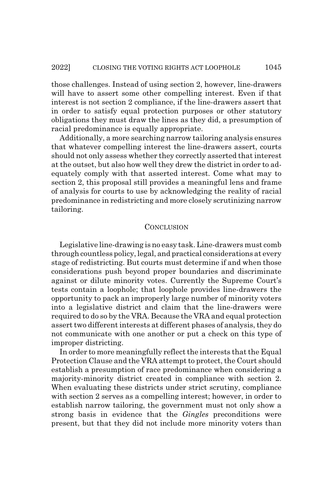those challenges. Instead of using section 2, however, line-drawers will have to assert some other compelling interest. Even if that interest is not section 2 compliance, if the line-drawers assert that in order to satisfy equal protection purposes or other statutory obligations they must draw the lines as they did, a presumption of racial predominance is equally appropriate.

Additionally, a more searching narrow tailoring analysis ensures that whatever compelling interest the line-drawers assert, courts should not only assess whether they correctly asserted that interest at the outset, but also how well they drew the district in order to adequately comply with that asserted interest. Come what may to section 2, this proposal still provides a meaningful lens and frame of analysis for courts to use by acknowledging the reality of racial predominance in redistricting and more closely scrutinizing narrow tailoring.

#### **CONCLUSION**

Legislative line-drawing is no easy task. Line-drawers must comb through countless policy, legal, and practical considerations at every stage of redistricting. But courts must determine if and when those considerations push beyond proper boundaries and discriminate against or dilute minority votes. Currently the Supreme Court's tests contain a loophole; that loophole provides line-drawers the opportunity to pack an improperly large number of minority voters into a legislative district and claim that the line-drawers were required to do so by the VRA. Because the VRA and equal protection assert two different interests at different phases of analysis, they do not communicate with one another or put a check on this type of improper districting.

In order to more meaningfully reflect the interests that the Equal Protection Clause and the VRA attempt to protect, the Court should establish a presumption of race predominance when considering a majority-minority district created in compliance with section 2. When evaluating these districts under strict scrutiny, compliance with section 2 serves as a compelling interest; however, in order to establish narrow tailoring, the government must not only show a strong basis in evidence that the *Gingles* preconditions were present, but that they did not include more minority voters than